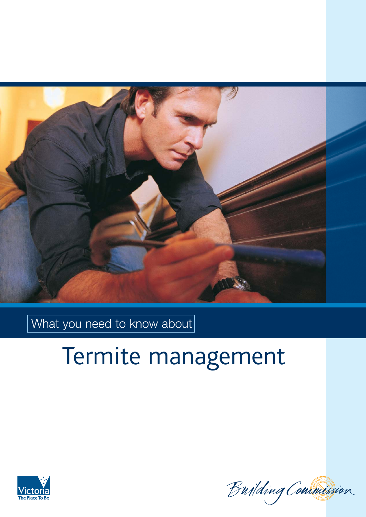

What you need to know about

# Termite management



Building Commission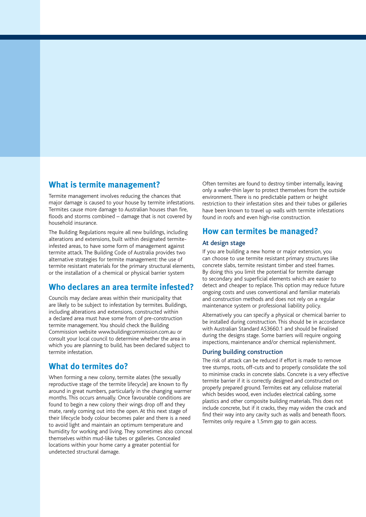## **What is termite management?**

Termite management involves reducing the chances that major damage is caused to your house by termite infestations. Termites cause more damage to Australian houses than fire, floods and storms combined – damage that is not covered by household insurance.

The Building Regulations require all new buildings, including alterations and extensions, built within designated termiteinfested areas, to have some form of management against termite attack. The Building Code of Australia provides two alternative strategies for termite management: the use of termite resistant materials for the primary structural elements, or the installation of a chemical or physical barrier system

## **Who declares an area termite infested?**

Councils may declare areas within their municipality that are likely to be subject to infestation by termites. Buildings, including alterations and extensions, constructed within a declared area must have some from of pre-construction termite management. You should check the Building Commission website www.buildingcommission.com.au or consult your local council to determine whether the area in which you are planning to build, has been declared subject to termite infestation.

## **What do termites do?**

When forming a new colony, termite alates (the sexually reproductive stage of the termite lifecycle) are known to fly around in great numbers, particularly in the changing warmer months. This occurs annually. Once favourable conditions are found to begin a new colony their wings drop off and they mate, rarely coming out into the open. At this next stage of their lifecycle body colour becomes paler and there is a need to avoid light and maintain an optimum temperature and humidity for working and living. They sometimes also conceal themselves within mud-like tubes or galleries. Concealed locations within your home carry a greater potential for undetected structural damage.

Often termites are found to destroy timber internally, leaving only a wafer-thin layer to protect themselves from the outside environment. There is no predictable pattern or height restriction to their infestation sites and their tubes or galleries have been known to travel up walls with termite infestations found in roofs and even high-rise construction.

## **How can termites be managed?**

#### At design stage

If you are building a new home or major extension, you can choose to use termite resistant primary structures like concrete slabs, termite resistant timber and steel frames. By doing this you limit the potential for termite damage to secondary and superficial elements which are easier to detect and cheaper to replace. This option may reduce future ongoing costs and uses conventional and familiar materials and construction methods and does not rely on a regular maintenance system or professional liability policy.

Alternatively you can specify a physical or chemical barrier to be installed during construction. This should be in accordance with Australian Standard AS3660.1 and should be finalised during the designs stage. Some barriers will require ongoing inspections, maintenance and/or chemical replenishment.

#### During building construction

The risk of attack can be reduced if effort is made to remove tree stumps, roots, off-cuts and to properly consolidate the soil to minimise cracks in concrete slabs. Concrete is a very effective termite barrier if it is correctly designed and constructed on properly prepared ground. Termites eat any cellulose material which besides wood, even includes electrical cabling, some plastics and other composite building materials. This does not include concrete, but if it cracks, they may widen the crack and find their way into any cavity such as walls and beneath floors. Termites only require a 1.5mm gap to gain access.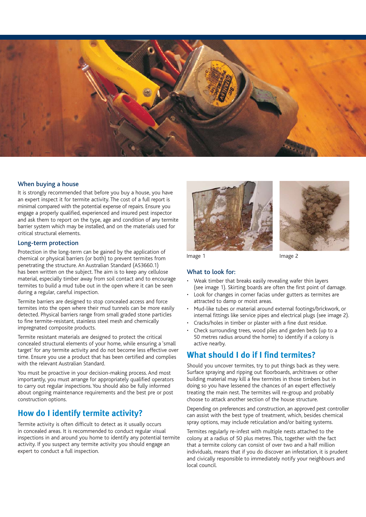

#### When buying a house

It is strongly recommended that before you buy a house, you have an expert inspect it for termite activity. The cost of a full report is minimal compared with the potential expense of repairs. Ensure you engage a properly qualified, experienced and insured pest inspector and ask them to report on the type, age and condition of any termite barrier system which may be installed, and on the materials used for critical structural elements.

#### Long-term protection

Protection in the long-term can be gained by the application of chemical or physical barriers (or both) to prevent termites from penetrating the structure. An Australian Standard (AS3660.1) has been written on the subject. The aim is to keep any cellulose material, especially timber away from soil contact and to encourage termites to build a mud tube out in the open where it can be seen during a regular, careful inspection.

Termite barriers are designed to stop concealed access and force termites into the open where their mud tunnels can be more easily detected. Physical barriers range from small graded stone particles to fine termite-resistant, stainless steel mesh and chemically impregnated composite products.

Termite resistant materials are designed to protect the critical concealed structural elements of your home, while ensuring a 'small target' for any termite activity and do not become less effective over time. Ensure you use a product that has been certified and complies with the relevant Australian Standard.

You must be proactive in your decision-making process. And most importantly, you must arrange for appropriately qualified operators to carry out regular inspections. You should also be fully informed about ongoing maintenance requirements and the best pre or post construction options.

## **How do I identify termite activity?**

Termite activity is often difficult to detect as it usually occurs in concealed areas. It is recommended to conduct regular visual inspections in and around you home to identify any potential termite activity. If you suspect any termite activity you should engage an expert to conduct a full inspection.





#### What to look for:

- Weak timber that breaks easily revealing wafer thin layers (see image 1). Skirting boards are often the first point of damage.
- Look for changes in corner facias under gutters as termites are attracted to damp or moist areas.
- Mud-like tubes or material around external footings/brickwork, or internal fittings like service pipes and electrical plugs (see image 2).
- Cracks/holes in timber or plaster with a fine dust residue.
- Check surrounding trees, wood piles and garden beds (up to a 50 metres radius around the home) to identify if a colony is active nearby.

## **What should I do if I find termites?**

Should you uncover termites, try to put things back as they were. Surface spraying and ripping out floorboards, architraves or other building material may kill a few termites in those timbers but in doing so you have lessened the chances of an expert effectively treating the main nest. The termites will re-group and probably choose to attack another section of the house structure.

Depending on preferences and construction, an approved pest controller can assist with the best type of treatment, which, besides chemical spray options, may include reticulation and/or baiting systems.

Termites regularly re-infest with multiple nests attached to the colony at a radius of 50 plus metres. This, together with the fact that a termite colony can consist of over two and a half million individuals, means that if you do discover an infestation, it is prudent and civically responsible to immediately notify your neighbours and local council.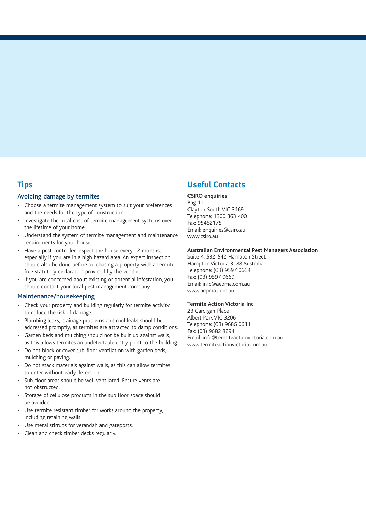## **Tips**

#### Avoiding damage by termites

- Choose a termite management system to suit your preferences and the needs for the type of construction.
- Investigate the total cost of termite management systems over the lifetime of your home.
- Understand the system of termite management and maintenance requirements for your house.
- Have a pest controller inspect the house every 12 months, especially if you are in a high hazard area. An expert inspection should also be done before purchasing a property with a termite free statutory declaration provided by the vendor.
- If you are concerned about existing or potential infestation, you should contact your local pest management company.

#### Maintenance/housekeeping

- Check your property and building regularly for termite activity to reduce the risk of damage.
- Plumbing leaks, drainage problems and roof leaks should be addressed promptly, as termites are attracted to damp conditions.
- Garden beds and mulching should not be built up against walls, as this allows termites an undetectable entry point to the building.
- Do not block or cover sub-floor ventilation with garden beds, mulching or paving.
- Do not stack materials against walls, as this can allow termites to enter without early detection.
- Sub-floor areas should be well ventilated. Ensure vents are not obstructed.
- Storage of cellulose products in the sub floor space should be avoided.
- Use termite resistant timber for works around the property, including retaining walls.
- Use metal stirrups for verandah and gateposts.
- Clean and check timber decks regularly.

# **Useful Contacts**

#### **CSIRO enquiries**

Bag 10 Clayton South VIC 3169 Telephone: 1300 363 400 Fax: 95452175 Email: enquiries@csiro.au www.csiro.au

#### **Australian Environmental Pest Managers Association**

Suite 4, 532-542 Hampton Street Hampton Victoria 3188 Australia Telephone: (03) 9597 0664 Fax: (03) 9597 0669 Email: info@aepma.com.au www.aepma.com.au

#### **Termite Action Victoria Inc**

23 Cardigan Place Albert Park VIC 3206 Telephone: (03) 9686 0611 Fax: (03) 9682 8294 Email: info@termiteactionvictoria.com.au www.termiteactionvictoria.com.au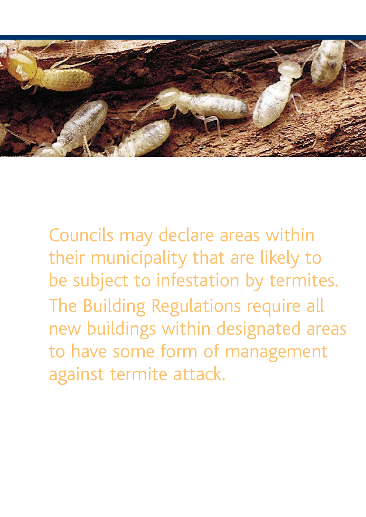

Councils may declare areas within their municipality that are likely to be subject to infestation by termites. The Building Regulations require all new buildings within designated areas to have some form of management against termite attack.